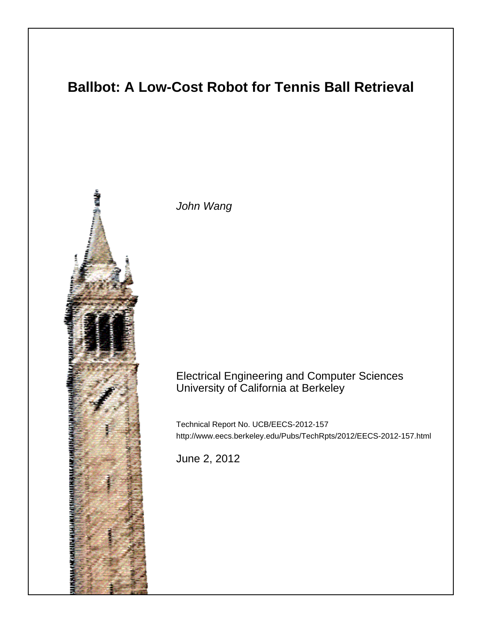# **Ballbot: A Low-Cost Robot for Tennis Ball Retrieval**



John Wang

# Electrical Engineering and Computer Sciences University of California at Berkeley

Technical Report No. UCB/EECS-2012-157 http://www.eecs.berkeley.edu/Pubs/TechRpts/2012/EECS-2012-157.html

June 2, 2012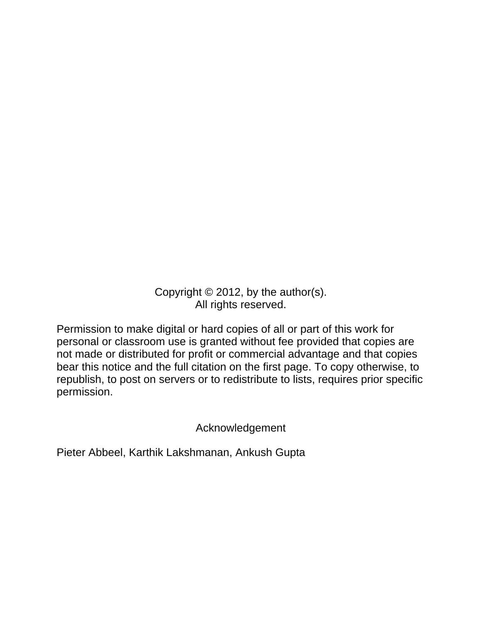Copyright © 2012, by the author(s). All rights reserved.

Permission to make digital or hard copies of all or part of this work for personal or classroom use is granted without fee provided that copies are not made or distributed for profit or commercial advantage and that copies bear this notice and the full citation on the first page. To copy otherwise, to republish, to post on servers or to redistribute to lists, requires prior specific permission.

Acknowledgement

Pieter Abbeel, Karthik Lakshmanan, Ankush Gupta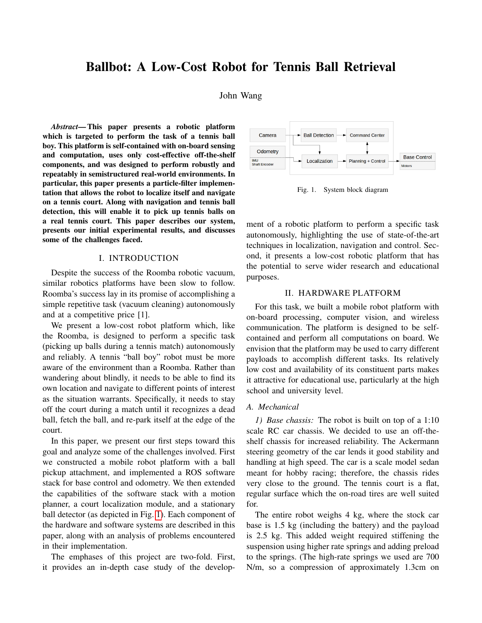# Ballbot: A Low-Cost Robot for Tennis Ball Retrieval

John Wang

*Abstract*— This paper presents a robotic platform which is targeted to perform the task of a tennis ball boy. This platform is self-contained with on-board sensing and computation, uses only cost-effective off-the-shelf components, and was designed to perform robustly and repeatably in semistructured real-world environments. In particular, this paper presents a particle-filter implementation that allows the robot to localize itself and navigate on a tennis court. Along with navigation and tennis ball detection, this will enable it to pick up tennis balls on a real tennis court. This paper describes our system, presents our initial experimental results, and discusses some of the challenges faced.

#### I. INTRODUCTION

Despite the success of the Roomba robotic vacuum, similar robotics platforms have been slow to follow. Roomba's success lay in its promise of accomplishing a simple repetitive task (vacuum cleaning) autonomously and at a competitive price [1].

We present a low-cost robot platform which, like the Roomba, is designed to perform a specific task (picking up balls during a tennis match) autonomously and reliably. A tennis "ball boy" robot must be more aware of the environment than a Roomba. Rather than wandering about blindly, it needs to be able to find its own location and navigate to different points of interest as the situation warrants. Specifically, it needs to stay off the court during a match until it recognizes a dead ball, fetch the ball, and re-park itself at the edge of the court.

In this paper, we present our first steps toward this goal and analyze some of the challenges involved. First we constructed a mobile robot platform with a ball pickup attachment, and implemented a ROS software stack for base control and odometry. We then extended the capabilities of the software stack with a motion planner, a court localization module, and a stationary ball detector (as depicted in Fig. [1\)](#page-2-0). Each component of the hardware and software systems are described in this paper, along with an analysis of problems encountered in their implementation.

The emphases of this project are two-fold. First, it provides an in-depth case study of the develop-



<span id="page-2-0"></span>Fig. 1. System block diagram

ment of a robotic platform to perform a specific task autonomously, highlighting the use of state-of-the-art techniques in localization, navigation and control. Second, it presents a low-cost robotic platform that has the potential to serve wider research and educational purposes.

#### II. HARDWARE PLATFORM

For this task, we built a mobile robot platform with on-board processing, computer vision, and wireless communication. The platform is designed to be selfcontained and perform all computations on board. We envision that the platform may be used to carry different payloads to accomplish different tasks. Its relatively low cost and availability of its constituent parts makes it attractive for educational use, particularly at the high school and university level.

# *A. Mechanical*

*1) Base chassis:* The robot is built on top of a 1:10 scale RC car chassis. We decided to use an off-theshelf chassis for increased reliability. The Ackermann steering geometry of the car lends it good stability and handling at high speed. The car is a scale model sedan meant for hobby racing; therefore, the chassis rides very close to the ground. The tennis court is a flat, regular surface which the on-road tires are well suited for.

The entire robot weighs 4 kg, where the stock car base is 1.5 kg (including the battery) and the payload is 2.5 kg. This added weight required stiffening the suspension using higher rate springs and adding preload to the springs. (The high-rate springs we used are 700 N/m, so a compression of approximately 1.3cm on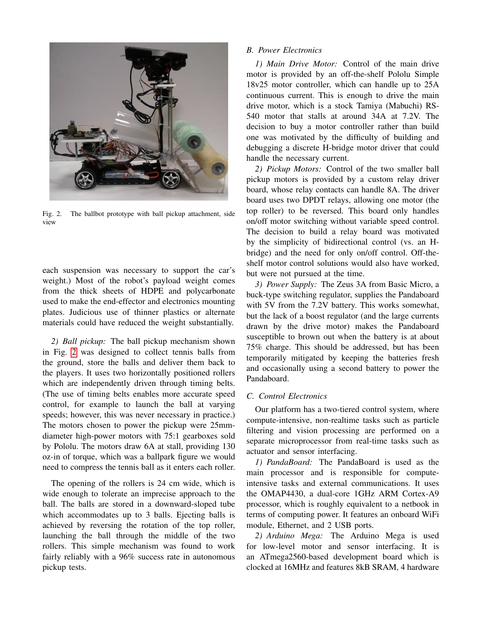

Fig. 2. The ballbot prototype with ball pickup attachment, side view

<span id="page-3-0"></span>each suspension was necessary to support the car's weight.) Most of the robot's payload weight comes from the thick sheets of HDPE and polycarbonate used to make the end-effector and electronics mounting plates. Judicious use of thinner plastics or alternate materials could have reduced the weight substantially.

*2) Ball pickup:* The ball pickup mechanism shown in Fig. [2](#page-3-0) was designed to collect tennis balls from the ground, store the balls and deliver them back to the players. It uses two horizontally positioned rollers which are independently driven through timing belts. (The use of timing belts enables more accurate speed control, for example to launch the ball at varying speeds; however, this was never necessary in practice.) The motors chosen to power the pickup were 25mmdiameter high-power motors with 75:1 gearboxes sold by Pololu. The motors draw 6A at stall, providing 130 oz-in of torque, which was a ballpark figure we would need to compress the tennis ball as it enters each roller.

The opening of the rollers is 24 cm wide, which is wide enough to tolerate an imprecise approach to the ball. The balls are stored in a downward-sloped tube which accommodates up to 3 balls. Ejecting balls is achieved by reversing the rotation of the top roller, launching the ball through the middle of the two rollers. This simple mechanism was found to work fairly reliably with a 96% success rate in autonomous pickup tests.

# *B. Power Electronics*

*1) Main Drive Motor:* Control of the main drive motor is provided by an off-the-shelf Pololu Simple 18v25 motor controller, which can handle up to 25A continuous current. This is enough to drive the main drive motor, which is a stock Tamiya (Mabuchi) RS-540 motor that stalls at around 34A at 7.2V. The decision to buy a motor controller rather than build one was motivated by the difficulty of building and debugging a discrete H-bridge motor driver that could handle the necessary current.

*2) Pickup Motors:* Control of the two smaller ball pickup motors is provided by a custom relay driver board, whose relay contacts can handle 8A. The driver board uses two DPDT relays, allowing one motor (the top roller) to be reversed. This board only handles on/off motor switching without variable speed control. The decision to build a relay board was motivated by the simplicity of bidirectional control (vs. an Hbridge) and the need for only on/off control. Off-theshelf motor control solutions would also have worked, but were not pursued at the time.

*3) Power Supply:* The Zeus 3A from Basic Micro, a buck-type switching regulator, supplies the Pandaboard with 5V from the 7.2V battery. This works somewhat, but the lack of a boost regulator (and the large currents drawn by the drive motor) makes the Pandaboard susceptible to brown out when the battery is at about 75% charge. This should be addressed, but has been temporarily mitigated by keeping the batteries fresh and occasionally using a second battery to power the Pandaboard.

# *C. Control Electronics*

Our platform has a two-tiered control system, where compute-intensive, non-realtime tasks such as particle filtering and vision processing are performed on a separate microprocessor from real-time tasks such as actuator and sensor interfacing.

*1) PandaBoard:* The PandaBoard is used as the main processor and is responsible for computeintensive tasks and external communications. It uses the OMAP4430, a dual-core 1GHz ARM Cortex-A9 processor, which is roughly equivalent to a netbook in terms of computing power. It features an onboard WiFi module, Ethernet, and 2 USB ports.

*2) Arduino Mega:* The Arduino Mega is used for low-level motor and sensor interfacing. It is an ATmega2560-based development board which is clocked at 16MHz and features 8kB SRAM, 4 hardware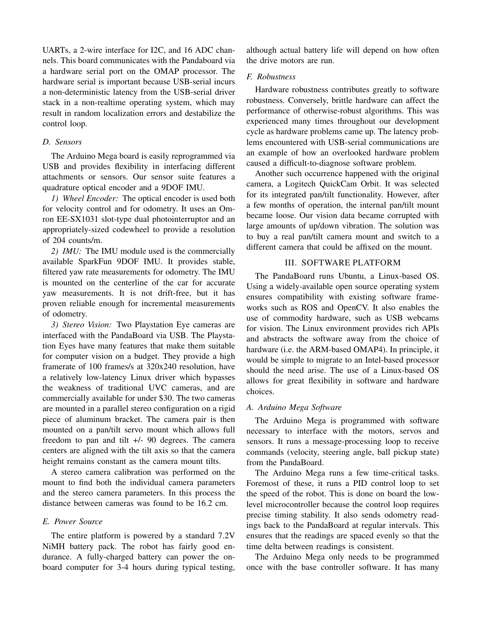UARTs, a 2-wire interface for I2C, and 16 ADC channels. This board communicates with the Pandaboard via a hardware serial port on the OMAP processor. The hardware serial is important because USB-serial incurs a non-deterministic latency from the USB-serial driver stack in a non-realtime operating system, which may result in random localization errors and destabilize the control loop.

#### *D. Sensors*

The Arduino Mega board is easily reprogrammed via USB and provides flexibility in interfacing different attachments or sensors. Our sensor suite features a quadrature optical encoder and a 9DOF IMU.

*1) Wheel Encoder:* The optical encoder is used both for velocity control and for odometry. It uses an Omron EE-SX1031 slot-type dual photointerruptor and an appropriately-sized codewheel to provide a resolution of 204 counts/m.

*2) IMU:* The IMU module used is the commercially available SparkFun 9DOF IMU. It provides stable, filtered yaw rate measurements for odometry. The IMU is mounted on the centerline of the car for accurate yaw measurements. It is not drift-free, but it has proven reliable enough for incremental measurements of odometry.

*3) Stereo Vision:* Two Playstation Eye cameras are interfaced with the PandaBoard via USB. The Playstation Eyes have many features that make them suitable for computer vision on a budget. They provide a high framerate of 100 frames/s at 320x240 resolution, have a relatively low-latency Linux driver which bypasses the weakness of traditional UVC cameras, and are commercially available for under \$30. The two cameras are mounted in a parallel stereo configuration on a rigid piece of aluminum bracket. The camera pair is then mounted on a pan/tilt servo mount which allows full freedom to pan and tilt +/- 90 degrees. The camera centers are aligned with the tilt axis so that the camera height remains constant as the camera mount tilts.

A stereo camera calibration was performed on the mount to find both the individual camera parameters and the stereo camera parameters. In this process the distance between cameras was found to be 16.2 cm.

# *E. Power Source*

The entire platform is powered by a standard 7.2V NiMH battery pack. The robot has fairly good endurance. A fully-charged battery can power the onboard computer for 3-4 hours during typical testing, although actual battery life will depend on how often the drive motors are run.

#### *F. Robustness*

Hardware robustness contributes greatly to software robustness. Conversely, brittle hardware can affect the performance of otherwise-robust algorithms. This was experienced many times throughout our development cycle as hardware problems came up. The latency problems encountered with USB-serial communications are an example of how an overlooked hardware problem caused a difficult-to-diagnose software problem.

Another such occurrence happened with the original camera, a Logitech QuickCam Orbit. It was selected for its integrated pan/tilt functionality. However, after a few months of operation, the internal pan/tilt mount became loose. Our vision data became corrupted with large amounts of up/down vibration. The solution was to buy a real pan/tilt camera mount and switch to a different camera that could be affixed on the mount.

### III. SOFTWARE PLATFORM

The PandaBoard runs Ubuntu, a Linux-based OS. Using a widely-available open source operating system ensures compatibility with existing software frameworks such as ROS and OpenCV. It also enables the use of commodity hardware, such as USB webcams for vision. The Linux environment provides rich APIs and abstracts the software away from the choice of hardware (i.e. the ARM-based OMAP4). In principle, it would be simple to migrate to an Intel-based processor should the need arise. The use of a Linux-based OS allows for great flexibility in software and hardware choices.

### *A. Arduino Mega Software*

The Arduino Mega is programmed with software necessary to interface with the motors, servos and sensors. It runs a message-processing loop to receive commands (velocity, steering angle, ball pickup state) from the PandaBoard.

The Arduino Mega runs a few time-critical tasks. Foremost of these, it runs a PID control loop to set the speed of the robot. This is done on board the lowlevel microcontroller because the control loop requires precise timing stability. It also sends odometry readings back to the PandaBoard at regular intervals. This ensures that the readings are spaced evenly so that the time delta between readings is consistent.

The Arduino Mega only needs to be programmed once with the base controller software. It has many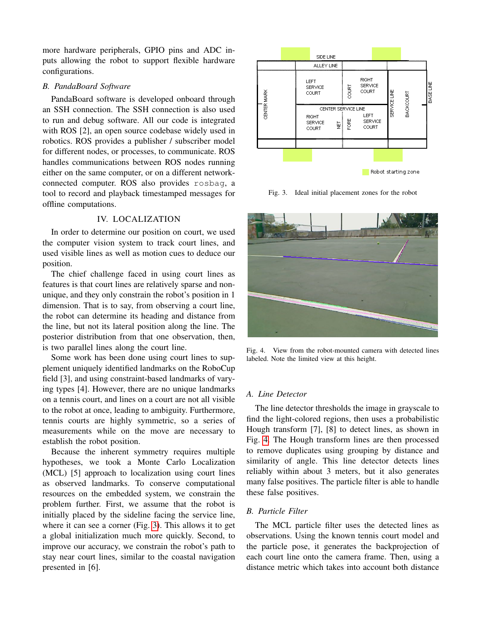more hardware peripherals, GPIO pins and ADC inputs allowing the robot to support flexible hardware configurations.

### *B. PandaBoard Software*

PandaBoard software is developed onboard through an SSH connection. The SSH connection is also used to run and debug software. All our code is integrated with ROS [2], an open source codebase widely used in robotics. ROS provides a publisher / subscriber model for different nodes, or processes, to communicate. ROS handles communications between ROS nodes running either on the same computer, or on a different networkconnected computer. ROS also provides rosbag, a tool to record and playback timestamped messages for offline computations.

# IV. LOCALIZATION

In order to determine our position on court, we used the computer vision system to track court lines, and used visible lines as well as motion cues to deduce our position.

The chief challenge faced in using court lines as features is that court lines are relatively sparse and nonunique, and they only constrain the robot's position in 1 dimension. That is to say, from observing a court line, the robot can determine its heading and distance from the line, but not its lateral position along the line. The posterior distribution from that one observation, then, is two parallel lines along the court line.

Some work has been done using court lines to supplement uniquely identified landmarks on the RoboCup field [3], and using constraint-based landmarks of varying types [4]. However, there are no unique landmarks on a tennis court, and lines on a court are not all visible to the robot at once, leading to ambiguity. Furthermore, tennis courts are highly symmetric, so a series of measurements while on the move are necessary to establish the robot position.

Because the inherent symmetry requires multiple hypotheses, we took a Monte Carlo Localization (MCL) [5] approach to localization using court lines as observed landmarks. To conserve computational resources on the embedded system, we constrain the problem further. First, we assume that the robot is initially placed by the sideline facing the service line, where it can see a corner (Fig. [3\)](#page-5-0). This allows it to get a global initialization much more quickly. Second, to improve our accuracy, we constrain the robot's path to stay near court lines, similar to the coastal navigation presented in [6].



<span id="page-5-0"></span>Fig. 3. Ideal initial placement zones for the robot



Fig. 4. View from the robot-mounted camera with detected lines labeled. Note the limited view at this height.

#### <span id="page-5-1"></span>*A. Line Detector*

The line detector thresholds the image in grayscale to find the light-colored regions, then uses a probabilistic Hough transform [7], [8] to detect lines, as shown in Fig. [4.](#page-5-1) The Hough transform lines are then processed to remove duplicates using grouping by distance and similarity of angle. This line detector detects lines reliably within about 3 meters, but it also generates many false positives. The particle filter is able to handle these false positives.

# *B. Particle Filter*

The MCL particle filter uses the detected lines as observations. Using the known tennis court model and the particle pose, it generates the backprojection of each court line onto the camera frame. Then, using a distance metric which takes into account both distance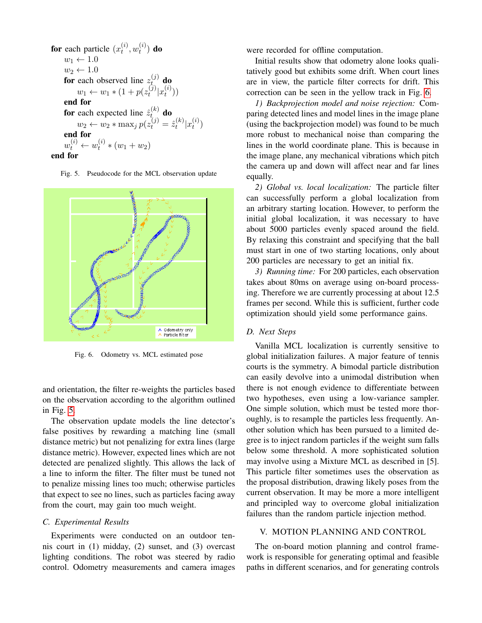**for** each particle 
$$
(x_t^{(i)}, w_t^{(i)})
$$
 **do**  
\n $w_1 \leftarrow 1.0$   
\n $w_2 \leftarrow 1.0$   
\n**for** each observed line  $z_t^{(j)}$  **do**  
\n $w_1 \leftarrow w_1 * (1 + p(z_t^{(j)}|x_t^{(i)}))$   
\n**end for**  
\n**for** each expected line  $\hat{z}_t^{(k)}$  **do**  
\n $w_2 \leftarrow w_2 * \max_j p(z_t^{(j)} = \hat{z}_t^{(k)}|x_t^{(i)})$   
\n**end for**  
\n $w_t^{(i)} \leftarrow w_t^{(i)} * (w_1 + w_2)$   
\n**end for**

<span id="page-6-0"></span>Fig. 5. Pseudocode for the MCL observation update



<span id="page-6-1"></span>Fig. 6. Odometry vs. MCL estimated pose

and orientation, the filter re-weights the particles based on the observation according to the algorithm outlined in Fig. [5.](#page-6-0)

The observation update models the line detector's false positives by rewarding a matching line (small distance metric) but not penalizing for extra lines (large distance metric). However, expected lines which are not detected are penalized slightly. This allows the lack of a line to inform the filter. The filter must be tuned not to penalize missing lines too much; otherwise particles that expect to see no lines, such as particles facing away from the court, may gain too much weight.

#### *C. Experimental Results*

Experiments were conducted on an outdoor tennis court in (1) midday, (2) sunset, and (3) overcast lighting conditions. The robot was steered by radio control. Odometry measurements and camera images

were recorded for offline computation.

Initial results show that odometry alone looks qualitatively good but exhibits some drift. When court lines are in view, the particle filter corrects for drift. This correction can be seen in the yellow track in Fig. [6.](#page-6-1)

*1) Backprojection model and noise rejection:* Comparing detected lines and model lines in the image plane (using the backprojection model) was found to be much more robust to mechanical noise than comparing the lines in the world coordinate plane. This is because in the image plane, any mechanical vibrations which pitch the camera up and down will affect near and far lines equally.

*2) Global vs. local localization:* The particle filter can successfully perform a global localization from an arbitrary starting location. However, to perform the initial global localization, it was necessary to have about 5000 particles evenly spaced around the field. By relaxing this constraint and specifying that the ball must start in one of two starting locations, only about 200 particles are necessary to get an initial fix.

*3) Running time:* For 200 particles, each observation takes about 80ms on average using on-board processing. Therefore we are currently processing at about 12.5 frames per second. While this is sufficient, further code optimization should yield some performance gains.

#### *D. Next Steps*

Vanilla MCL localization is currently sensitive to global initialization failures. A major feature of tennis courts is the symmetry. A bimodal particle distribution can easily devolve into a unimodal distribution when there is not enough evidence to differentiate between two hypotheses, even using a low-variance sampler. One simple solution, which must be tested more thoroughly, is to resample the particles less frequently. Another solution which has been pursued to a limited degree is to inject random particles if the weight sum falls below some threshold. A more sophisticated solution may involve using a Mixture MCL as described in [5]. This particle filter sometimes uses the observation as the proposal distribution, drawing likely poses from the current observation. It may be more a more intelligent and principled way to overcome global initialization failures than the random particle injection method.

# V. MOTION PLANNING AND CONTROL

The on-board motion planning and control framework is responsible for generating optimal and feasible paths in different scenarios, and for generating controls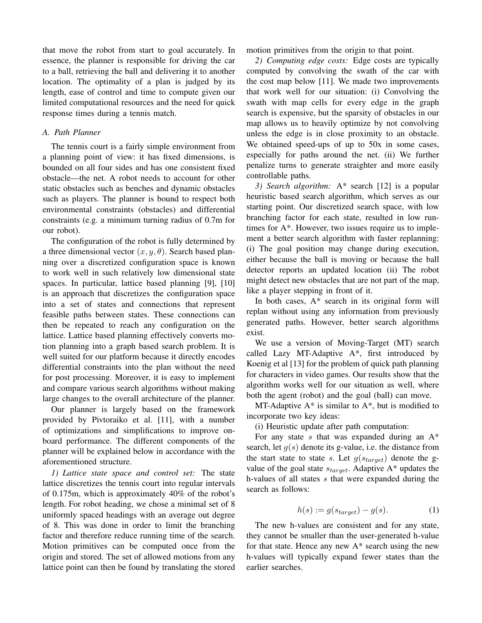that move the robot from start to goal accurately. In essence, the planner is responsible for driving the car to a ball, retrieving the ball and delivering it to another location. The optimality of a plan is judged by its length, ease of control and time to compute given our limited computational resources and the need for quick response times during a tennis match.

#### *A. Path Planner*

The tennis court is a fairly simple environment from a planning point of view: it has fixed dimensions, is bounded on all four sides and has one consistent fixed obstacle—the net. A robot needs to account for other static obstacles such as benches and dynamic obstacles such as players. The planner is bound to respect both environmental constraints (obstacles) and differential constraints (e.g. a minimum turning radius of 0.7m for our robot).

The configuration of the robot is fully determined by a three dimensional vector  $(x, y, \theta)$ . Search based planning over a discretized configuration space is known to work well in such relatively low dimensional state spaces. In particular, lattice based planning [9], [10] is an approach that discretizes the configuration space into a set of states and connections that represent feasible paths between states. These connections can then be repeated to reach any configuration on the lattice. Lattice based planning effectively converts motion planning into a graph based search problem. It is well suited for our platform because it directly encodes differential constraints into the plan without the need for post processing. Moreover, it is easy to implement and compare various search algorithms without making large changes to the overall architecture of the planner.

Our planner is largely based on the framework provided by Pivtoraiko et al. [11], with a number of optimizations and simplifications to improve onboard performance. The different components of the planner will be explained below in accordance with the aforementioned structure.

*1) Lattice state space and control set:* The state lattice discretizes the tennis court into regular intervals of 0.175m, which is approximately 40% of the robot's length. For robot heading, we chose a minimal set of 8 uniformly spaced headings with an average out degree of 8. This was done in order to limit the branching factor and therefore reduce running time of the search. Motion primitives can be computed once from the origin and stored. The set of allowed motions from any lattice point can then be found by translating the stored

motion primitives from the origin to that point.

*2) Computing edge costs:* Edge costs are typically computed by convolving the swath of the car with the cost map below [11]. We made two improvements that work well for our situation: (i) Convolving the swath with map cells for every edge in the graph search is expensive, but the sparsity of obstacles in our map allows us to heavily optimize by not convolving unless the edge is in close proximity to an obstacle. We obtained speed-ups of up to 50x in some cases, especially for paths around the net. (ii) We further penalize turns to generate straighter and more easily controllable paths.

*3) Search algorithm:* A\* search [12] is a popular heuristic based search algorithm, which serves as our starting point. Our discretized search space, with low branching factor for each state, resulted in low runtimes for A\*. However, two issues require us to implement a better search algorithm with faster replanning: (i) The goal position may change during execution, either because the ball is moving or because the ball detector reports an updated location (ii) The robot might detect new obstacles that are not part of the map, like a player stepping in front of it.

In both cases, A\* search in its original form will replan without using any information from previously generated paths. However, better search algorithms exist.

We use a version of Moving-Target (MT) search called Lazy MT-Adaptive A\*, first introduced by Koenig et al [13] for the problem of quick path planning for characters in video games. Our results show that the algorithm works well for our situation as well, where both the agent (robot) and the goal (ball) can move.

MT-Adaptive  $A^*$  is similar to  $A^*$ , but is modified to incorporate two key ideas:

(i) Heuristic update after path computation:

For any state  $s$  that was expanded during an  $A^*$ search, let  $g(s)$  denote its g-value, i.e. the distance from the start state to state s. Let  $g(s_{target})$  denote the gvalue of the goal state  $s_{target}$ . Adaptive A\* updates the h-values of all states s that were expanded during the search as follows:

$$
h(s) := g(s_{target}) - g(s). \tag{1}
$$

The new h-values are consistent and for any state, they cannot be smaller than the user-generated h-value for that state. Hence any new  $A^*$  search using the new h-values will typically expand fewer states than the earlier searches.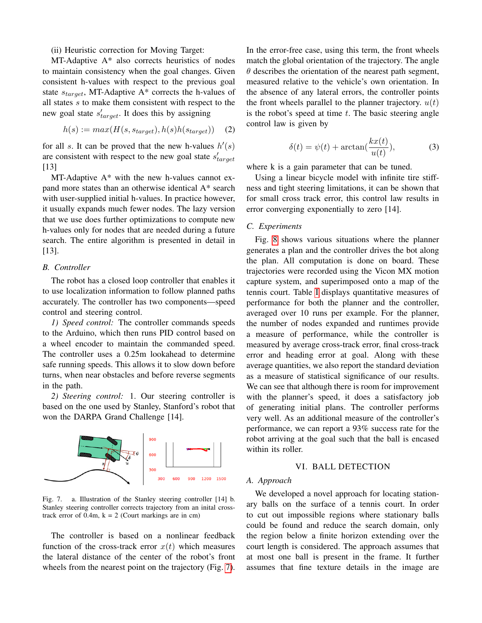(ii) Heuristic correction for Moving Target:

MT-Adaptive A\* also corrects heuristics of nodes to maintain consistency when the goal changes. Given consistent h-values with respect to the previous goal state  $s_{target}$ , MT-Adaptive A\* corrects the h-values of all states s to make them consistent with respect to the new goal state  $s'_{target}$ . It does this by assigning

$$
h(s) := max(H(s, s_{target}), h(s)h(s_{target})) \quad (2)
$$

for all s. It can be proved that the new h-values  $h'(s)$ are consistent with respect to the new goal state  $s'_{target}$ [13]

MT-Adaptive A\* with the new h-values cannot expand more states than an otherwise identical A\* search with user-supplied initial h-values. In practice however, it usually expands much fewer nodes. The lazy version that we use does further optimizations to compute new h-values only for nodes that are needed during a future search. The entire algorithm is presented in detail in [13].

#### *B. Controller*

The robot has a closed loop controller that enables it to use localization information to follow planned paths accurately. The controller has two components—speed control and steering control.

*1) Speed control:* The controller commands speeds to the Arduino, which then runs PID control based on a wheel encoder to maintain the commanded speed. The controller uses a 0.25m lookahead to determine safe running speeds. This allows it to slow down before turns, when near obstacles and before reverse segments in the path.

*2) Steering control:* 1. Our steering controller is based on the one used by Stanley, Stanford's robot that won the DARPA Grand Challenge [14].



<span id="page-8-0"></span>Fig. 7. a. Illustration of the Stanley steering controller [14] b. Stanley steering controller corrects trajectory from an inital crosstrack error of  $0.4m$ ,  $k = 2$  (Court markings are in cm)

The controller is based on a nonlinear feedback function of the cross-track error  $x(t)$  which measures the lateral distance of the center of the robot's front wheels from the nearest point on the trajectory (Fig. [7\)](#page-8-0). In the error-free case, using this term, the front wheels match the global orientation of the trajectory. The angle  $\theta$  describes the orientation of the nearest path segment, measured relative to the vehicle's own orientation. In the absence of any lateral errors, the controller points the front wheels parallel to the planner trajectory.  $u(t)$ is the robot's speed at time  $t$ . The basic steering angle control law is given by

$$
\delta(t) = \psi(t) + \arctan(\frac{kx(t)}{u(t)}),\tag{3}
$$

where k is a gain parameter that can be tuned.

Using a linear bicycle model with infinite tire stiffness and tight steering limitations, it can be shown that for small cross track error, this control law results in error converging exponentially to zero [14].

#### *C. Experiments*

Fig. [8](#page-9-0) shows various situations where the planner generates a plan and the controller drives the bot along the plan. All computation is done on board. These trajectories were recorded using the Vicon MX motion capture system, and superimposed onto a map of the tennis court. Table [I](#page-9-1) displays quantitative measures of performance for both the planner and the controller, averaged over 10 runs per example. For the planner, the number of nodes expanded and runtimes provide a measure of performance, while the controller is measured by average cross-track error, final cross-track error and heading error at goal. Along with these average quantities, we also report the standard deviation as a measure of statistical significance of our results. We can see that although there is room for improvement with the planner's speed, it does a satisfactory job of generating initial plans. The controller performs very well. As an additional measure of the controller's performance, we can report a 93% success rate for the robot arriving at the goal such that the ball is encased within its roller.

### VI. BALL DETECTION

#### *A. Approach*

We developed a novel approach for locating stationary balls on the surface of a tennis court. In order to cut out impossible regions where stationary balls could be found and reduce the search domain, only the region below a finite horizon extending over the court length is considered. The approach assumes that at most one ball is present in the frame. It further assumes that fine texture details in the image are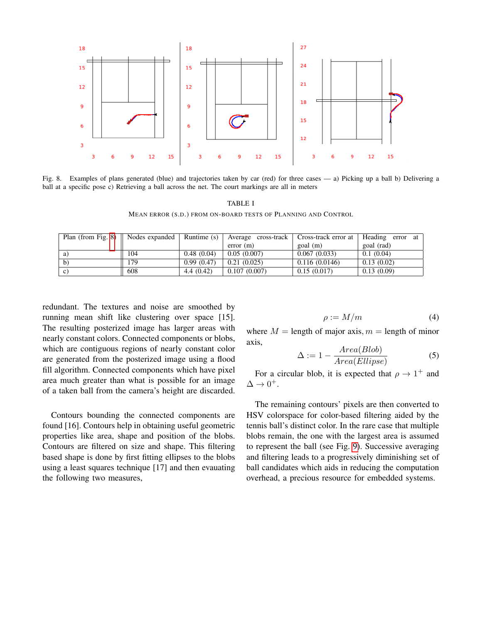

<span id="page-9-1"></span><span id="page-9-0"></span>Fig. 8. Examples of plans generated (blue) and trajectories taken by car (red) for three cases — a) Picking up a ball b) Delivering a ball at a specific pose c) Retrieving a ball across the net. The court markings are all in meters

TABLE I

MEAN ERROR (S.D.) FROM ON-BOARD TESTS OF PLANNING AND CONTROL

| Plan (from Fig. 8) | Nodes expanded | Runtime (s) | Average cross-track | Cross-track error at | Heading error<br>- at |
|--------------------|----------------|-------------|---------------------|----------------------|-----------------------|
|                    |                |             | error(m)            | goal (m)             | goal (rad)            |
| a)                 | 104            | 0.48(0.04)  | 0.05(0.007)         | 0.067(0.033)         | 0.1(0.04)             |
| $\mathbf{b}$       | 179            | 0.99(0.47)  | 0.21(0.025)         | 0.116(0.0146)        | 0.13(0.02)            |
| C)                 | 608            | 4.4(0.42)   | 0.107(0.007)        | 0.15(0.017)          | 0.13(0.09)            |

redundant. The textures and noise are smoothed by running mean shift like clustering over space [15]. The resulting posterized image has larger areas with nearly constant colors. Connected components or blobs, which are contiguous regions of nearly constant color are generated from the posterized image using a flood fill algorithm. Connected components which have pixel area much greater than what is possible for an image of a taken ball from the camera's height are discarded.

Contours bounding the connected components are found [16]. Contours help in obtaining useful geometric properties like area, shape and position of the blobs. Contours are filtered on size and shape. This filtering based shape is done by first fitting ellipses to the blobs using a least squares technique [17] and then evauating the following two measures,

$$
\rho := M/m \tag{4}
$$

where  $M =$  length of major axis,  $m =$  length of minor axis,  $\sqrt{2}$ 

$$
\Delta := 1 - \frac{Area(Blob)}{Area(Ellipse)}\tag{5}
$$

For a circular blob, it is expected that  $\rho \rightarrow 1^+$  and  $\Delta \rightarrow 0^+$ .

The remaining contours' pixels are then converted to HSV colorspace for color-based filtering aided by the tennis ball's distinct color. In the rare case that multiple blobs remain, the one with the largest area is assumed to represent the ball (see Fig. [9\)](#page-10-0). Successive averaging and filtering leads to a progressively diminishing set of ball candidates which aids in reducing the computation overhead, a precious resource for embedded systems.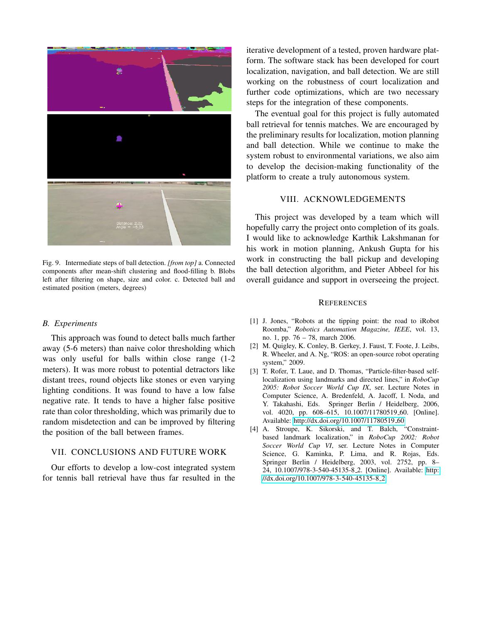

Fig. 9. Intermediate steps of ball detection. *[from top]* a. Connected components after mean-shift clustering and flood-filling b. Blobs left after filtering on shape, size and color. c. Detected ball and estimated position (meters, degrees)

#### <span id="page-10-0"></span>*B. Experiments*

This approach was found to detect balls much farther away (5-6 meters) than naive color thresholding which was only useful for balls within close range (1-2 meters). It was more robust to potential detractors like distant trees, round objects like stones or even varying lighting conditions. It was found to have a low false negative rate. It tends to have a higher false positive rate than color thresholding, which was primarily due to random misdetection and can be improved by filtering the position of the ball between frames.

# VII. CONCLUSIONS AND FUTURE WORK

Our efforts to develop a low-cost integrated system for tennis ball retrieval have thus far resulted in the iterative development of a tested, proven hardware platform. The software stack has been developed for court localization, navigation, and ball detection. We are still working on the robustness of court localization and further code optimizations, which are two necessary steps for the integration of these components.

The eventual goal for this project is fully automated ball retrieval for tennis matches. We are encouraged by the preliminary results for localization, motion planning and ball detection. While we continue to make the system robust to environmental variations, we also aim to develop the decision-making functionality of the platform to create a truly autonomous system.

# VIII. ACKNOWLEDGEMENTS

This project was developed by a team which will hopefully carry the project onto completion of its goals. I would like to acknowledge Karthik Lakshmanan for his work in motion planning, Ankush Gupta for his work in constructing the ball pickup and developing the ball detection algorithm, and Pieter Abbeel for his overall guidance and support in overseeing the project.

#### **REFERENCES**

- [1] J. Jones, "Robots at the tipping point: the road to iRobot Roomba," *Robotics Automation Magazine, IEEE*, vol. 13, no. 1, pp. 76 – 78, march 2006.
- [2] M. Quigley, K. Conley, B. Gerkey, J. Faust, T. Foote, J. Leibs, R. Wheeler, and A. Ng, "ROS: an open-source robot operating system," 2009.
- [3] T. Rofer, T. Laue, and D. Thomas, "Particle-filter-based selflocalization using landmarks and directed lines," in *RoboCup 2005: Robot Soccer World Cup IX*, ser. Lecture Notes in Computer Science, A. Bredenfeld, A. Jacoff, I. Noda, and Y. Takahashi, Eds. Springer Berlin / Heidelberg, 2006, vol. 4020, pp. 608–615, 10.1007/11780519<sub>-60</sub>. [Online]. Available: [http://dx.doi.org/10.1007/11780519](http://dx.doi.org/10.1007/11780519_60)<sub>-60</sub>
- [4] A. Stroupe, K. Sikorski, and T. Balch, "Constraintbased landmark localization," in *RoboCup 2002: Robot Soccer World Cup VI*, ser. Lecture Notes in Computer Science, G. Kaminka, P. Lima, and R. Rojas, Eds. Springer Berlin / Heidelberg, 2003, vol. 2752, pp. 8– 24, 10.1007/978-3-540-45135-8 2. [Online]. Available: [http:](http://dx.doi.org/10.1007/978-3-540-45135-8_2) [//dx.doi.org/10.1007/978-3-540-45135-8](http://dx.doi.org/10.1007/978-3-540-45135-8_2) 2